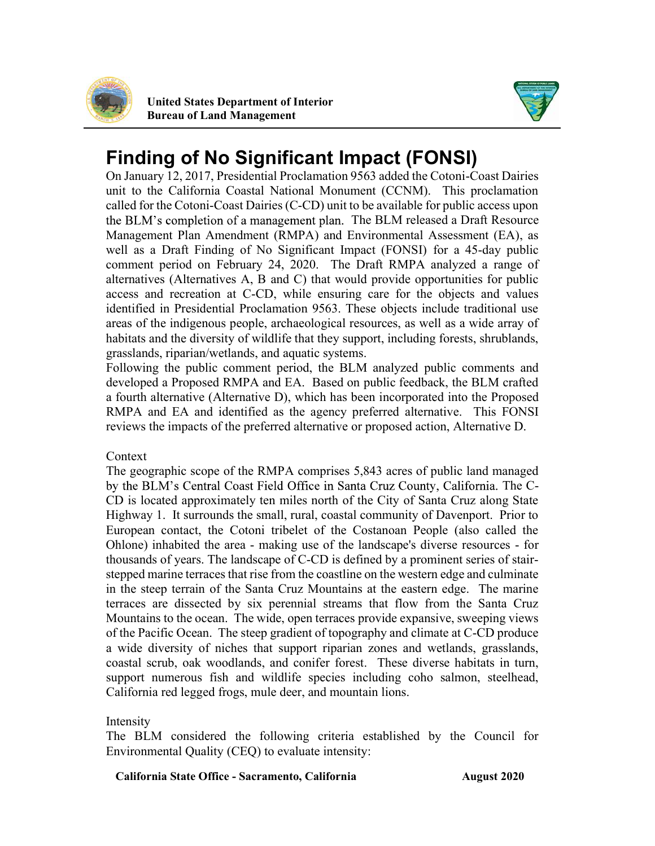

 United States Department of Interior Bureau of Land Management



# Finding of No Significant Impact (FONSI)

 On January 12, 2017, Presidential Proclamation 9563 added the Cotoni-Coast Dairies unit to the California Coastal National Monument (CCNM). This proclamation called for the Cotoni-Coast Dairies (C-CD) unit to be available for public access upon The BLM released a Draft Resource Management Plan Amendment (RMPA) and Environmental Assessment (EA), as well as a Draft Finding of No Significant Impact (FONSI) for a 45-day public comment period on February 24, 2020. The Draft RMPA analyzed a range of alternatives (Alternatives A, B and C) that would provide opportunities for public access and recreation at C-CD, while ensuring care for the objects and values identified in Presidential Proclamation 9563. These objects include traditional use areas of the indigenous people, archaeological resources, as well as a wide array of habitats and the diversity of wildlife that they support, including forests, shrublands, grasslands, riparian/wetlands, and aquatic systems.

 Following the public comment period, the BLM analyzed public comments and developed a Proposed RMPA and EA. Based on public feedback, the BLM crafted a fourth alternative (Alternative D), which has been incorporated into the Proposed RMPA and EA and identified as the agency preferred alternative. This FONSI reviews the impacts of the preferred alternative or proposed action, Alternative D.

Context

 The geographic scope of the RMPA comprises 5,843 acres of public land managed The C- CD is located approximately ten miles north of the City of Santa Cruz along State Highway 1. It surrounds the small, rural, coastal community of Davenport. Prior to European contact, the Cotoni tribelet of the Costanoan People (also called the Ohlone) inhabited the area - making use of the landscape's diverse resources - for thousands of years. The landscape of C-CD is defined by a prominent series of stairstepped marine terraces that rise from the coastline on the western edge and culminate in the steep terrain of the Santa Cruz Mountains at the eastern edge. The marine terraces are dissected by six perennial streams that flow from the Santa Cruz Mountains to the ocean. The wide, open terraces provide expansive, sweeping views of the Pacific Ocean. The steep gradient of topography and climate at C-CD produce a wide diversity of niches that support riparian zones and wetlands, grasslands, coastal scrub, oak woodlands, and conifer forest. These diverse habitats in turn, support numerous fish and wildlife species including coho salmon, steelhead, California red legged frogs, mule deer, and mountain lions.

Intensity

 The BLM considered the following criteria established by the Council for Environmental Quality (CEQ) to evaluate intensity:

California State Office - Sacramento, California **August 2020**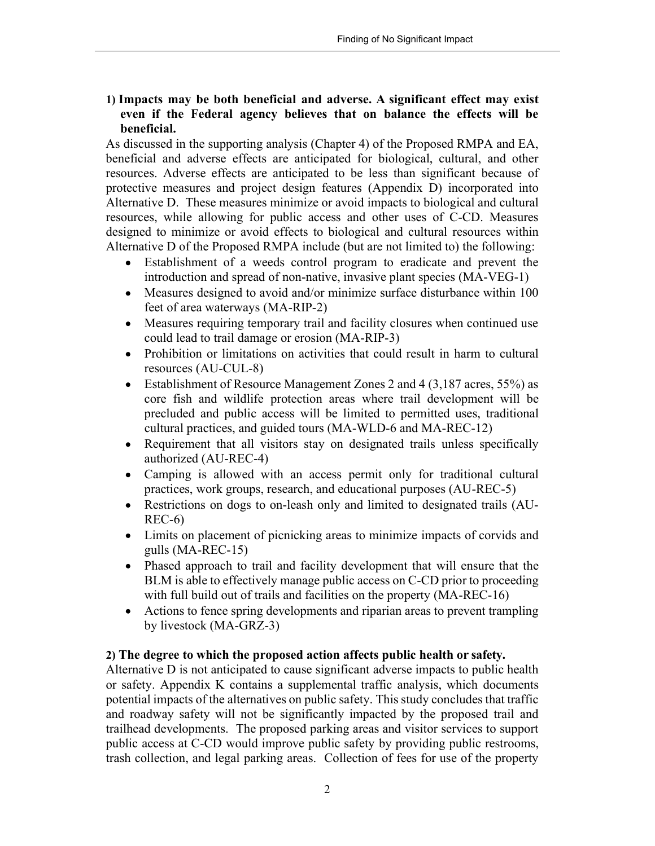1) Impacts may be both beneficial and adverse. A significant effect may exist even if the Federal agency believes that on balance the effects will be beneficial.

 As discussed in the supporting analysis (Chapter 4) of the Proposed RMPA and EA, beneficial and adverse effects are anticipated for biological, cultural, and other resources. Adverse effects are anticipated to be less than significant because of protective measures and project design features (Appendix D) incorporated into Alternative D. These measures minimize or avoid impacts to biological and cultural designed to minimize or avoid effects to biological and cultural resources within Alternative D of the Proposed RMPA include (but are not limited to) the following: resources, while allowing for public access and other uses of C-CD. Measures

- Establishment of a weeds control program to eradicate and prevent the introduction and spread of non-native, invasive plant species (MA-VEG-1)
- Measures designed to avoid and/or minimize surface disturbance within 100 feet of area waterways (MA-RIP-2)
- Measures requiring temporary trail and facility closures when continued use could lead to trail damage or erosion (MA-RIP-3)
- Prohibition or limitations on activities that could result in harm to cultural resources (AU-CUL-8)
- Establishment of Resource Management Zones 2 and 4 (3,187 acres, 55%) as core fish and wildlife protection areas where trail development will be precluded and public access will be limited to permitted uses, traditional cultural practices, and guided tours (MA-WLD-6 and MA-REC-12)
- Requirement that all visitors stay on designated trails unless specifically authorized (AU-REC-4)
- Camping is allowed with an access permit only for traditional cultural practices, work groups, research, and educational purposes (AU-REC-5)
- Restrictions on dogs to on-leash only and limited to designated trails (AU-REC-6)
- Limits on placement of picnicking areas to minimize impacts of corvids and gulls (MA-REC-15)
- Phased approach to trail and facility development that will ensure that the BLM is able to effectively manage public access on C-CD prior to proceeding with full build out of trails and facilities on the property (MA-REC-16)
- Actions to fence spring developments and riparian areas to prevent trampling  $\bullet$ by livestock (MA-GRZ-3)

## 2) The degree to which the proposed action affects public health or safety.

 Alternative D is not anticipated to cause significant adverse impacts to public health or safety. Appendix K contains a supplemental traffic analysis, which documents potential impacts of the alternatives on public safety. This study concludes that traffic and roadway safety will not be significantly impacted by the proposed trail and trailhead developments. The proposed parking areas and visitor services to support public access at C-CD would improve public safety by providing public restrooms, trash collection, and legal parking areas. Collection of fees for use of the property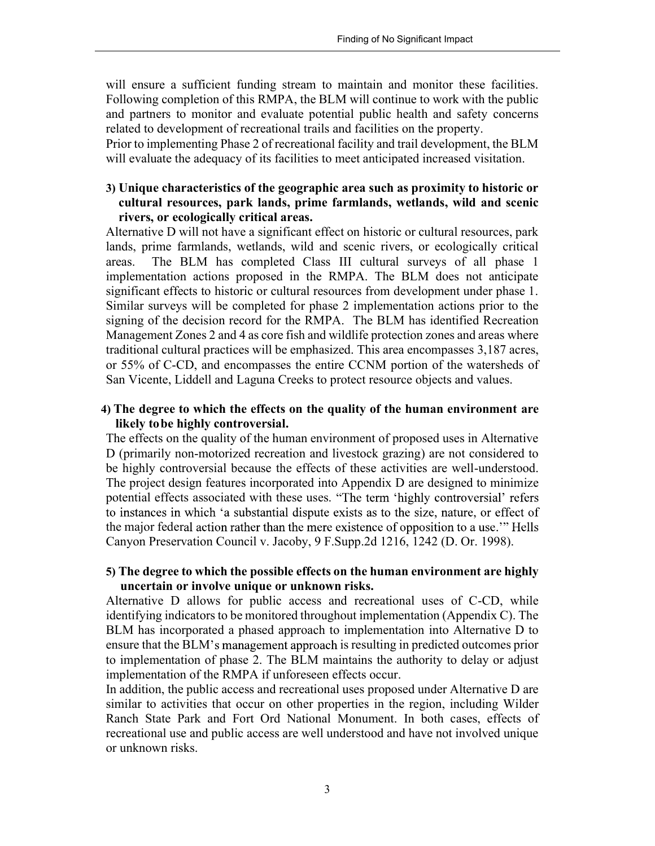will ensure a sufficient funding stream to maintain and monitor these facilities. Following completion of this RMPA, the BLM will continue to work with the public and partners to monitor and evaluate potential public health and safety concerns related to development of recreational trails and facilities on the property.

 Prior to implementing Phase 2 of recreational facility and trail development, the BLM will evaluate the adequacy of its facilities to meet anticipated increased visitation.

## 3) Unique characteristics of the geographic area such as proximity to historic or cultural resources, park lands, prime farmlands, wetlands, wild and scenic rivers, or ecologically critical areas.

 Alternative D will not have a significant effect on historic or cultural resources, park lands, prime farmlands, wetlands, wild and scenic rivers, or ecologically critical areas. implementation actions proposed in the RMPA. The BLM does not anticipate significant effects to historic or cultural resources from development under phase 1. Similar surveys will be completed for phase 2 implementation actions prior to the signing of the decision record for the RMPA. The BLM has identified Recreation Management Zones 2 and 4 as core fish and wildlife protection zones and areas where traditional cultural practices will be emphasized. This area encompasses 3,187 acres, or 55% of C-CD, and encompasses the entire CCNM portion of the watersheds of San Vicente, Liddell and Laguna Creeks to protect resource objects and values. The BLM has completed Class III cultural surveys of all phase 1

#### 4) The degree to which the effects on the quality of the human environment are likely tobe highly controversial.

 The effects on the quality of the human environment of proposed uses in Alternative D (primarily non-motorized recreation and livestock grazing) are not considered to be highly controversial because the effects of these activities are well-understood. The project design features incorporated into Appendix D are designed to minimize potential effects associated with these uses. to instances in which 'a substantial dispute exists as to the size, nature, or effect of the major feder Canyon Preservation Council v. Jacoby, 9 F.Supp.2d 1216, 1242 (D. Or. 1998).

## 5) The degree to which the possible effects on the human environment are highly uncertain or involve unique or unknown risks.

 Alternative D allows for public access and recreational uses of C-CD, while identifying indicators to be monitored throughout implementation (Appendix C). The BLM has incorporated a phased approach to implementation into Alternative D to ensure that the BLM's management approach is resulting in predicted outcomes prior to implementation of phase 2. The BLM maintains the authority to delay or adjust implementation of the RMPA if unforeseen effects occur.

 In addition, the public access and recreational uses proposed under Alternative D are similar to activities that occur on other properties in the region, including Wilder Ranch State Park and Fort Ord National Monument. In both cases, effects of recreational use and public access are well understood and have not involved unique or unknown risks.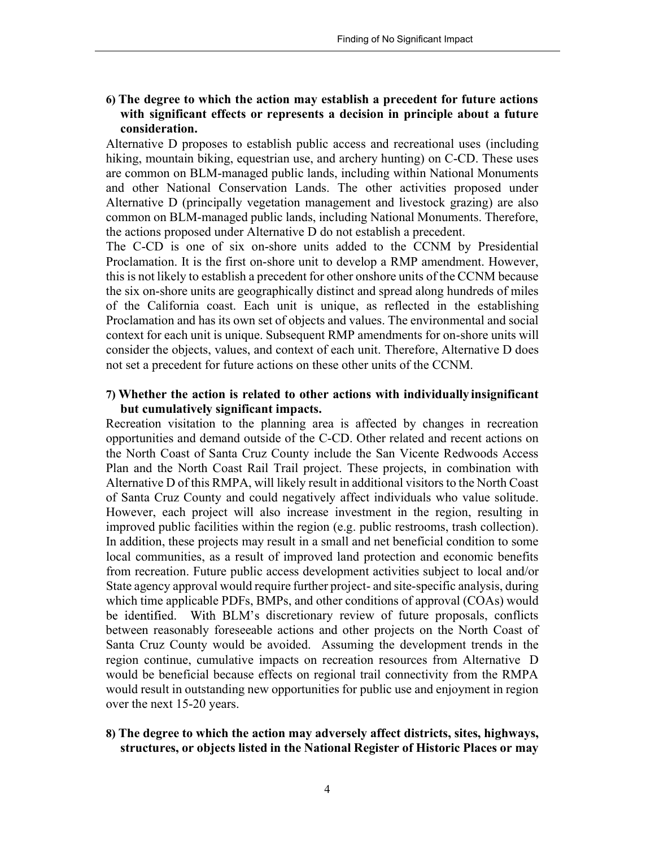6) The degree to which the action may establish a precedent for future actions with significant effects or represents a decision in principle about a future consideration.

 Alternative D proposes to establish public access and recreational uses (including hiking, mountain biking, equestrian use, and archery hunting) on C-CD. These uses are common on BLM-managed public lands, including within National Monuments and other National Conservation Lands. The other activities proposed under Alternative D (principally vegetation management and livestock grazing) are also common on BLM-managed public lands, including National Monuments. Therefore, the actions proposed under Alternative D do not establish a precedent.

 The C-CD is one of six on-shore units added to the CCNM by Presidential Proclamation. It is the first on-shore unit to develop a RMP amendment. However, this is not likely to establish a precedent for other onshore units of the CCNM because the six on-shore units are geographically distinct and spread along hundreds of miles of the California coast. Each unit is unique, as reflected in the establishing Proclamation and has its own set of objects and values. The environmental and social context for each unit is unique. Subsequent RMP amendments for on-shore units will consider the objects, values, and context of each unit. Therefore, Alternative D does not set a precedent for future actions on these other units of the CCNM.

#### 7) Whether the action is related to other actions with individually insignificant but cumulatively significant impacts.

 Recreation visitation to the planning area is affected by changes in recreation opportunities and demand outside of the C-CD. Other related and recent actions on the North Coast of Santa Cruz County include the San Vicente Redwoods Access Plan and the North Coast Rail Trail project. These projects, in combination with Alternative D of this RMPA, will likely result in additional visitors to the North Coast of Santa Cruz County and could negatively affect individuals who value solitude. However, each project will also increase investment in the region, resulting in improved public facilities within the region (e.g. public restrooms, trash collection). In addition, these projects may result in a small and net beneficial condition to some local communities, as a result of improved land protection and economic benefits from recreation. Future public access development activities subject to local and/or State agency approval would require further project- and site-specific analysis, during which time applicable PDFs, BMPs, and other conditions of approval (COAs) would discretionary review of future proposals, conflicts between reasonably foreseeable actions and other projects on the North Coast of Santa Cruz County would be avoided. Assuming the development trends in the region continue, cumulative impacts on recreation resources from Alternative D would be beneficial because effects on regional trail connectivity from the RMPA would result in outstanding new opportunities for public use and enjoyment in region over the next 15-20 years.

### 8) The degree to which the action may adversely affect districts, sites, highways, structures, or objects listed in the National Register of Historic Places or may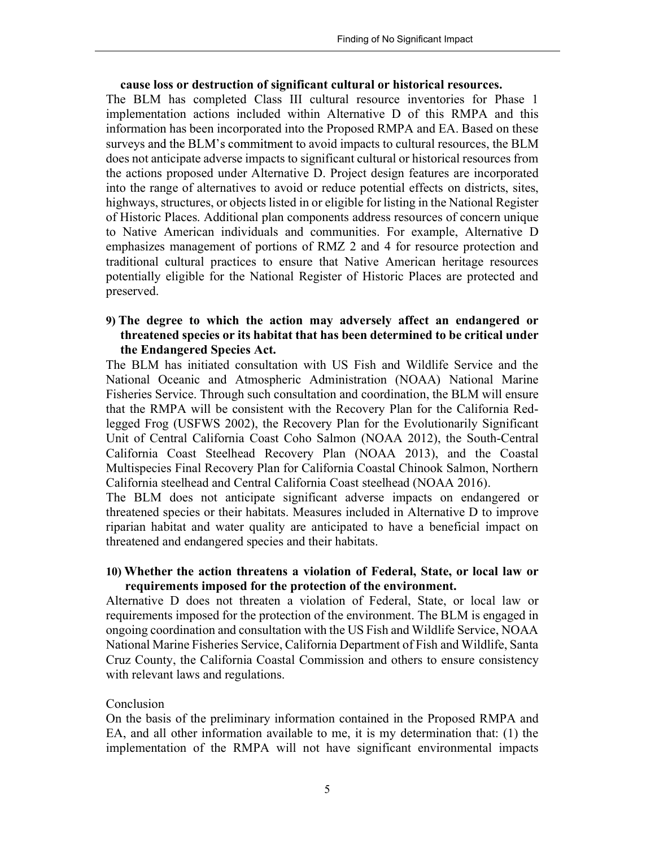#### cause loss or destruction of significant cultural or historical resources.

 The BLM has completed Class III cultural resource inventories for Phase 1 implementation actions included within Alternative D of this RMPA and this information has been incorporated into the Proposed RMPA and EA. Based on these surveys and the BLM's commitment to avoid impacts to cultural resources, the BLM does not anticipate adverse impacts to significant cultural or historical resources from the actions proposed under Alternative D. Project design features are incorporated into the range of alternatives to avoid or reduce potential effects on districts, sites, highways, structures, or objects listed in or eligible for listing in the National Register of Historic Places. Additional plan components address resources of concern unique to Native American individuals and communities. For example, Alternative D emphasizes management of portions of RMZ 2 and 4 for resource protection and traditional cultural practices to ensure that Native American heritage resources potentially eligible for the National Register of Historic Places are protected and preserved.

## 9) The degree to which the action may adversely affect an endangered or threatened species or its habitat that has been determined to be critical under the Endangered Species Act.

 The BLM has initiated consultation with US Fish and Wildlife Service and the National Oceanic and Atmospheric Administration (NOAA) National Marine Fisheries Service. Through such consultation and coordination, the BLM will ensure that the RMPA will be consistent with the Recovery Plan for the California Red- legged Frog (USFWS 2002), the Recovery Plan for the Evolutionarily Significant Unit of Central California Coast Coho Salmon (NOAA 2012), the South-Central California Coast Steelhead Recovery Plan (NOAA 2013), and the Coastal Multispecies Final Recovery Plan for California Coastal Chinook Salmon, Northern California steelhead and Central California Coast steelhead (NOAA 2016).

 The BLM does not anticipate significant adverse impacts on endangered or threatened species or their habitats. Measures included in Alternative D to improve riparian habitat and water quality are anticipated to have a beneficial impact on threatened and endangered species and their habitats.

#### 10) Whether the action threatens a violation of Federal, State, or local law or requirements imposed for the protection of the environment.

 Alternative D does not threaten a violation of Federal, State, or local law or requirements imposed for the protection of the environment. The BLM is engaged in ongoing coordination and consultation with the US Fish and Wildlife Service, NOAA National Marine Fisheries Service, California Department of Fish and Wildlife, Santa Cruz County, the California Coastal Commission and others to ensure consistency with relevant laws and regulations.

#### Conclusion

 On the basis of the preliminary information contained in the Proposed RMPA and EA, and all other information available to me, it is my determination that: (1) the implementation of the RMPA will not have significant environmental impacts